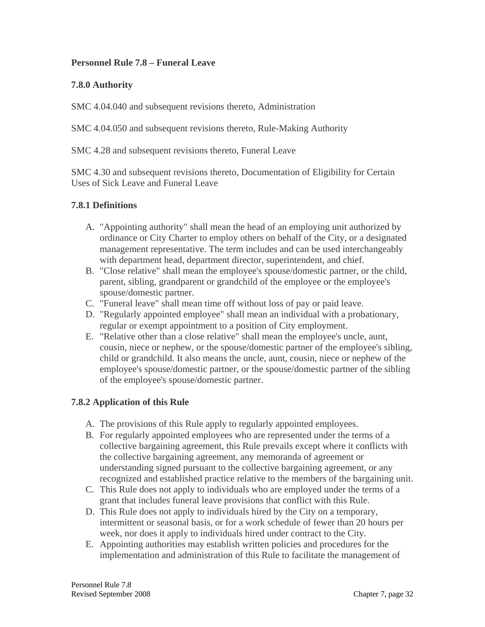# **Personnel Rule 7.8 – Funeral Leave**

# **7.8.0 Authority**

SMC 4.04.040 and subsequent revisions thereto, Administration

SMC 4.04.050 and subsequent revisions thereto, Rule-Making Authority

SMC 4.28 and subsequent revisions thereto, Funeral Leave

SMC 4.30 and subsequent revisions thereto, Documentation of Eligibility for Certain Uses of Sick Leave and Funeral Leave

# **7.8.1 Definitions**

- A. "Appointing authority" shall mean the head of an employing unit authorized by ordinance or City Charter to employ others on behalf of the City, or a designated management representative. The term includes and can be used interchangeably with department head, department director, superintendent, and chief.
- B. "Close relative" shall mean the employee's spouse/domestic partner, or the child, parent, sibling, grandparent or grandchild of the employee or the employee's spouse/domestic partner.
- C. "Funeral leave" shall mean time off without loss of pay or paid leave.
- D. "Regularly appointed employee" shall mean an individual with a probationary, regular or exempt appointment to a position of City employment.
- E. "Relative other than a close relative" shall mean the employee's uncle, aunt, cousin, niece or nephew, or the spouse/domestic partner of the employee's sibling, child or grandchild. It also means the uncle, aunt, cousin, niece or nephew of the employee's spouse/domestic partner, or the spouse/domestic partner of the sibling of the employee's spouse/domestic partner.

### **7.8.2 Application of this Rule**

- A. The provisions of this Rule apply to regularly appointed employees.
- B. For regularly appointed employees who are represented under the terms of a collective bargaining agreement, this Rule prevails except where it conflicts with the collective bargaining agreement, any memoranda of agreement or understanding signed pursuant to the collective bargaining agreement, or any recognized and established practice relative to the members of the bargaining unit.
- C. This Rule does not apply to individuals who are employed under the terms of a grant that includes funeral leave provisions that conflict with this Rule.
- D. This Rule does not apply to individuals hired by the City on a temporary, intermittent or seasonal basis, or for a work schedule of fewer than 20 hours per week, nor does it apply to individuals hired under contract to the City.
- E. Appointing authorities may establish written policies and procedures for the implementation and administration of this Rule to facilitate the management of